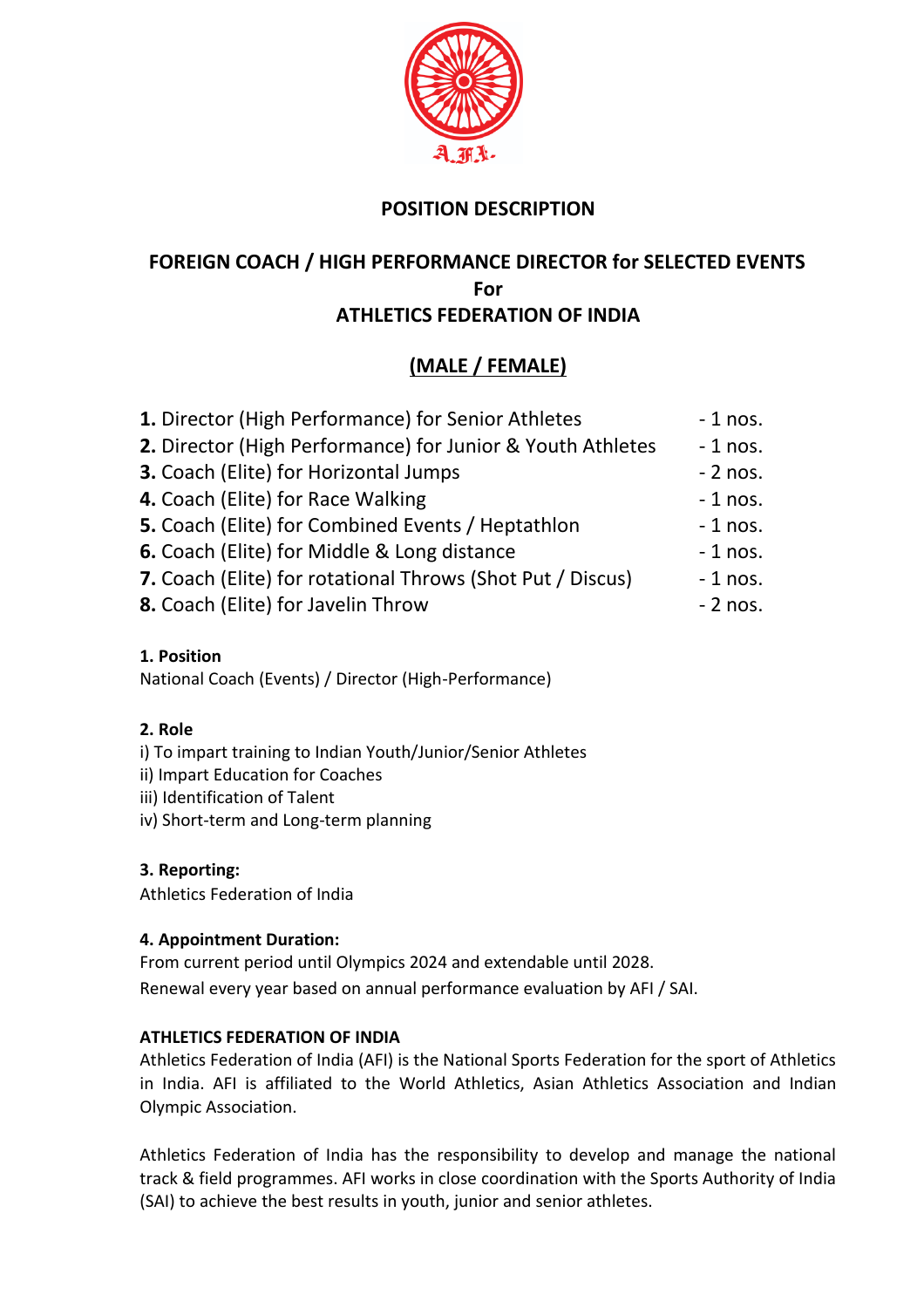

# **POSITION DESCRIPTION**

# **FOREIGN COACH / HIGH PERFORMANCE DIRECTOR for SELECTED EVENTS For ATHLETICS FEDERATION OF INDIA**

# **(MALE / FEMALE)**

| 1. Director (High Performance) for Senior Athletes         | $-1$ nos. |
|------------------------------------------------------------|-----------|
| 2. Director (High Performance) for Junior & Youth Athletes | $-1$ nos. |
| 3. Coach (Elite) for Horizontal Jumps                      | $-2$ nos. |
| 4. Coach (Elite) for Race Walking                          | $-1$ nos. |
| 5. Coach (Elite) for Combined Events / Heptathlon          | $-1$ nos. |
| 6. Coach (Elite) for Middle & Long distance                | $-1$ nos. |
| 7. Coach (Elite) for rotational Throws (Shot Put / Discus) | $-1$ nos. |
| 8. Coach (Elite) for Javelin Throw                         | $-2$ nos. |
|                                                            |           |

# **1. Position**

National Coach (Events) / Director (High-Performance)

# **2. Role**

- i) To impart training to Indian Youth/Junior/Senior Athletes
- ii) Impart Education for Coaches
- iii) Identification of Talent
- iv) Short-term and Long-term planning

# **3. Reporting:**

Athletics Federation of India

# **4. Appointment Duration:**

From current period until Olympics 2024 and extendable until 2028. Renewal every year based on annual performance evaluation by AFI / SAI.

# **ATHLETICS FEDERATION OF INDIA**

Athletics Federation of India (AFI) is the National Sports Federation for the sport of Athletics in India. AFI is affiliated to the World Athletics, Asian Athletics Association and Indian Olympic Association.

Athletics Federation of India has the responsibility to develop and manage the national track & field programmes. AFI works in close coordination with the Sports Authority of India (SAI) to achieve the best results in youth, junior and senior athletes.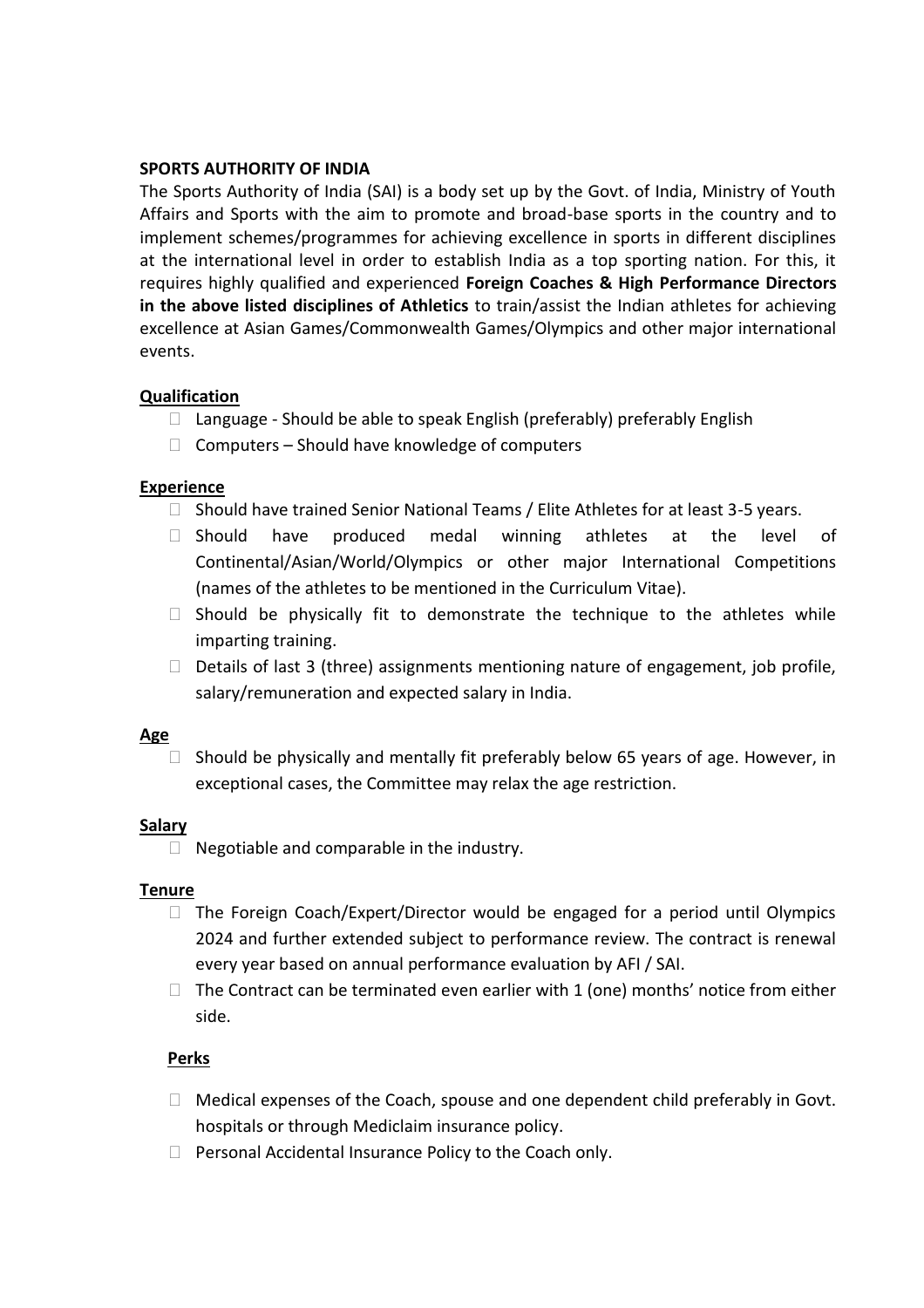#### **SPORTS AUTHORITY OF INDIA**

The Sports Authority of India (SAI) is a body set up by the Govt. of India, Ministry of Youth Affairs and Sports with the aim to promote and broad-base sports in the country and to implement schemes/programmes for achieving excellence in sports in different disciplines at the international level in order to establish India as a top sporting nation. For this, it requires highly qualified and experienced **Foreign Coaches & High Performance Directors in the above listed disciplines of Athletics** to train/assist the Indian athletes for achieving excellence at Asian Games/Commonwealth Games/Olympics and other major international events.

## **Qualification**

- $\Box$  Language Should be able to speak English (preferably) preferably English
- $\Box$  Computers Should have knowledge of computers

#### **Experience**

- $\Box$  Should have trained Senior National Teams / Elite Athletes for at least 3-5 years.
- ⮚ Should have produced medal winning athletes at the level of Continental/Asian/World/Olympics or other major International Competitions (names of the athletes to be mentioned in the Curriculum Vitae).
- $\Box$  Should be physically fit to demonstrate the technique to the athletes while imparting training.
- $\Box$  Details of last 3 (three) assignments mentioning nature of engagement, job profile, salary/remuneration and expected salary in India.

#### **Age**

 $\Box$  Should be physically and mentally fit preferably below 65 years of age. However, in exceptional cases, the Committee may relax the age restriction.

#### **Salary**

 $\Box$  Negotiable and comparable in the industry.

#### **Tenure**

- $\Box$  The Foreign Coach/Expert/Director would be engaged for a period until Olympics 2024 and further extended subject to performance review. The contract is renewal every year based on annual performance evaluation by AFI / SAI.
- $\Box$  The Contract can be terminated even earlier with 1 (one) months' notice from either side.

## **Perks**

- $\Box$  Medical expenses of the Coach, spouse and one dependent child preferably in Govt. hospitals or through Mediclaim insurance policy.
- □ Personal Accidental Insurance Policy to the Coach only.